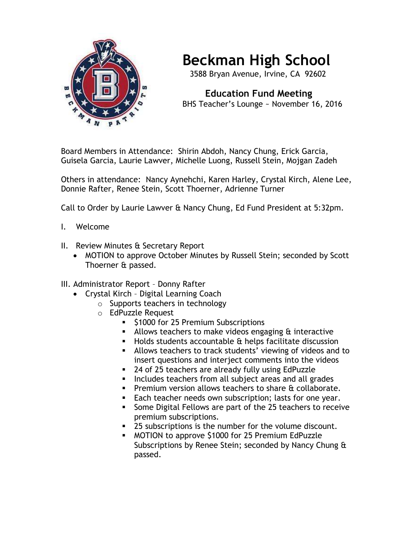

## **Beckman High School**

3588 Bryan Avenue, Irvine, CA 92602

 **Education Fund Meeting** BHS Teacher's Lounge ~ November 16, 2016

Board Members in Attendance: Shirin Abdoh, Nancy Chung, Erick Garcia, Guisela Garcia, Laurie Lawver, Michelle Luong, Russell Stein, Mojgan Zadeh

Others in attendance: Nancy Aynehchi, Karen Harley, Crystal Kirch, Alene Lee, Donnie Rafter, Renee Stein, Scott Thoerner, Adrienne Turner

Call to Order by Laurie Lawver & Nancy Chung, Ed Fund President at 5:32pm.

- I. Welcome
- II. Review Minutes & Secretary Report
	- MOTION to approve October Minutes by Russell Stein; seconded by Scott Thoerner & passed.
- III. Administrator Report Donny Rafter
	- Crystal Kirch Digital Learning Coach
		- o Supports teachers in technology
		- o EdPuzzle Request
			- **51000 for 25 Premium Subscriptions**
			- $\blacksquare$  Allows teachers to make videos engaging  $\alpha$  interactive
			- $\blacksquare$  Holds students accountable  $\alpha$  helps facilitate discussion
			- Allows teachers to track students' viewing of videos and to insert questions and interject comments into the videos
			- 24 of 25 teachers are already fully using EdPuzzle
			- Includes teachers from all subject areas and all grades
			- **Premium version allows teachers to share & collaborate.**
			- **Each teacher needs own subscription; lasts for one year.**
			- **Some Digital Fellows are part of the 25 teachers to receive** premium subscriptions.
			- 25 subscriptions is the number for the volume discount.
			- MOTION to approve \$1000 for 25 Premium EdPuzzle Subscriptions by Renee Stein; seconded by Nancy Chung & passed.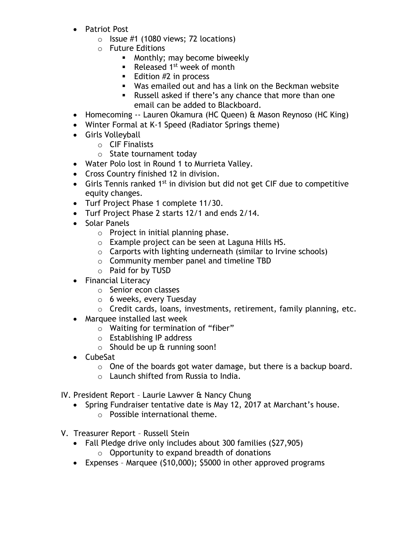- Patriot Post
	- $\circ$  Issue #1 (1080 views; 72 locations)
	- o Future Editions
		- **Monthly; may become biweekly**
		- Released  $1<sup>st</sup>$  week of month
		- **Edition #2 in process**
		- Was emailed out and has a link on the Beckman website
		- Russell asked if there's any chance that more than one email can be added to Blackboard.
- Homecoming -- Lauren Okamura (HC Queen) & Mason Reynoso (HC King)
- Winter Formal at K-1 Speed (Radiator Springs theme)
- Girls Volleyball
	- o CIF Finalists
	- o State tournament today
- Water Polo lost in Round 1 to Murrieta Valley.
- Cross Country finished 12 in division.
- Girls Tennis ranked  $1^{st}$  in division but did not get CIF due to competitive equity changes.
- Turf Project Phase 1 complete 11/30.
- Turf Project Phase 2 starts 12/1 and ends 2/14.
- Solar Panels
	- o Project in initial planning phase.
	- o Example project can be seen at Laguna Hills HS.
	- o Carports with lighting underneath (similar to Irvine schools)
	- o Community member panel and timeline TBD
	- o Paid for by TUSD
- Financial Literacy
	- o Senior econ classes
	- o 6 weeks, every Tuesday
	- o Credit cards, loans, investments, retirement, family planning, etc.
- Marquee installed last week
	- o Waiting for termination of "fiber"
	- o Establishing IP address
	- $\circ$  Should be up  $\&$  running soon!
- CubeSat
	- $\circ$  One of the boards got water damage, but there is a backup board.
	- o Launch shifted from Russia to India.
- IV. President Report Laurie Lawver & Nancy Chung
	- Spring Fundraiser tentative date is May 12, 2017 at Marchant's house.
		- o Possible international theme.
- V. Treasurer Report Russell Stein
	- Fall Pledge drive only includes about 300 families (\$27,905)
		- $\circ$  Opportunity to expand breadth of donations
	- Expenses Marquee (\$10,000); \$5000 in other approved programs